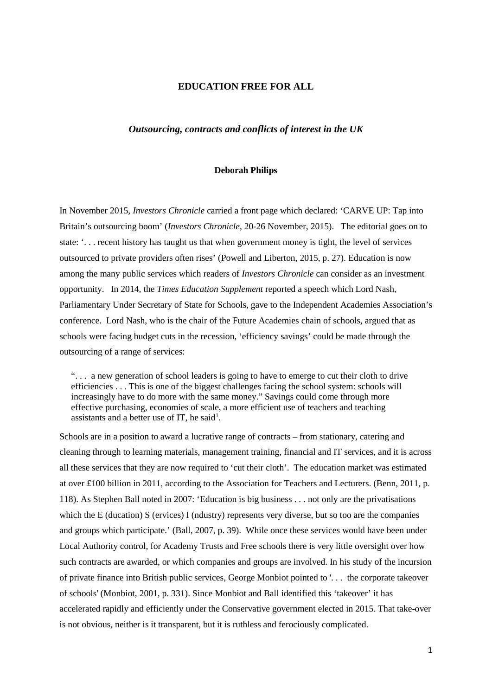## **EDUCATION FREE FOR ALL**

## *Outsourcing, contracts and conflicts of interest in the UK*

## **Deborah Philips**

In November 2015, *Investors Chronicle* carried a front page which declared: 'CARVE UP: Tap into Britain's outsourcing boom' (*Investors Chronicle,* 20-26 November, 2015). The editorial goes on to state: '. . . recent history has taught us that when government money is tight, the level of services outsourced to private providers often rises' (Powell and Liberton, 2015, p. 27). Education is now among the many public services which readers of *Investors Chronicle* can consider as an investment opportunity. In 2014, the *Times Education Supplement* reported a speech which Lord Nash, Parliamentary Under Secretary of State for Schools, gave to the Independent Academies Association's conference. Lord Nash, who is the chair of the Future Academies chain of schools, argued that as schools were facing budget cuts in the recession, 'efficiency savings' could be made through the outsourcing of a range of services:

 $\ldots$  a new generation of school leaders is going to have to emerge to cut their cloth to drive efficiencies . . . This is one of the biggest challenges facing the school system: schools will increasingly have to do more with the same money." Savings could come through more effective purchasing, economies of scale, a more efficient use of teachers and teaching assistants and a better use of IT, he said<sup>[1](#page-4-0)</sup>.

Schools are in a position to award a lucrative range of contracts – from stationary, catering and cleaning through to learning materials, management training, financial and IT services, and it is across all these services that they are now required to 'cut their cloth'. The education market was estimated at over £100 billion in 2011, according to the Association for Teachers and Lecturers. (Benn, 2011, p. 118). As Stephen Ball noted in 2007: 'Education is big business . . . not only are the privatisations which the E (ducation) S (ervices) I (ndustry) represents very diverse, but so too are the companies and groups which participate.' (Ball, 2007, p. 39). While once these services would have been under Local Authority control, for Academy Trusts and Free schools there is very little oversight over how such contracts are awarded, or which companies and groups are involved. In his study of the incursion of private finance into British public services, George Monbiot pointed to '. . . the corporate takeover of schools' (Monbiot, 2001, p. 331). Since Monbiot and Ball identified this 'takeover' it has accelerated rapidly and efficiently under the Conservative government elected in 2015. That take-over is not obvious, neither is it transparent, but it is ruthless and ferociously complicated.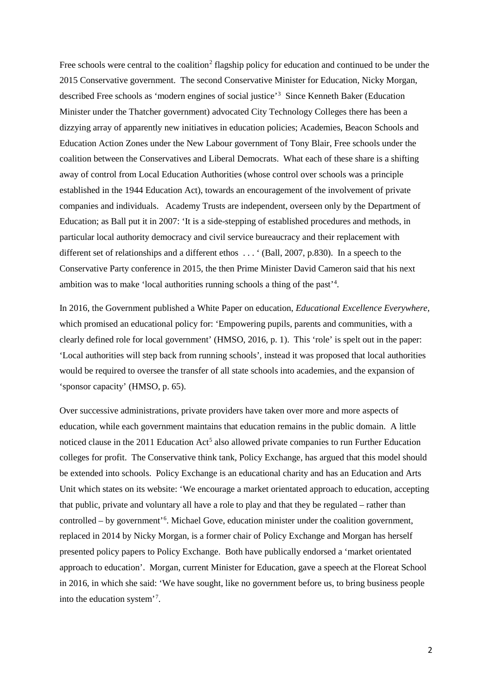Free schools were central to the coalition<sup>[2](#page-4-1)</sup> flagship policy for education and continued to be under the 2015 Conservative government. The second Conservative Minister for Education, Nicky Morgan, described Free schools as 'modern engines of social justice['3](#page-4-2) Since Kenneth Baker (Education Minister under the Thatcher government) advocated City Technology Colleges there has been a dizzying array of apparently new initiatives in education policies; Academies, Beacon Schools and Education Action Zones under the New Labour government of Tony Blair, Free schools under the coalition between the Conservatives and Liberal Democrats. What each of these share is a shifting away of control from Local Education Authorities (whose control over schools was a principle established in the 1944 Education Act), towards an encouragement of the involvement of private companies and individuals. Academy Trusts are independent, overseen only by the Department of Education; as Ball put it in 2007: 'It is a side-stepping of established procedures and methods, in particular local authority democracy and civil service bureaucracy and their replacement with different set of relationships and a different ethos . . . ' (Ball, 2007, p.830). In a speech to the Conservative Party conference in 2015, the then Prime Minister David Cameron said that his next ambition was to make 'local authorities running schools a thing of the past'[4](#page-4-3) .

In 2016, the Government published a White Paper on education, *Educational Excellence Everywhere,*  which promised an educational policy for: 'Empowering pupils, parents and communities, with a clearly defined role for local government' (HMSO, 2016, p. 1). This 'role' is spelt out in the paper: 'Local authorities will step back from running schools', instead it was proposed that local authorities would be required to oversee the transfer of all state schools into academies, and the expansion of 'sponsor capacity' (HMSO, p. 65).

Over successive administrations, private providers have taken over more and more aspects of education, while each government maintains that education remains in the public domain. A little noticed clause in the 2011 Education Act<sup>[5](#page-4-4)</sup> also allowed private companies to run Further Education colleges for profit. The Conservative think tank, Policy Exchange, has argued that this model should be extended into schools. Policy Exchange is an educational charity and has an Education and Arts Unit which states on its website: 'We encourage a market orientated approach to education, accepting that public, private and voluntary all have a role to play and that they be regulated – rather than controlled - by government'<sup>[6](#page-4-5)</sup>. Michael Gove, education minister under the coalition government, replaced in 2014 by Nicky Morgan, is a former chair of Policy Exchange and Morgan has herself presented policy papers to Policy Exchange. Both have publically endorsed a 'market orientated approach to education'. Morgan, current Minister for Education, gave a speech at the Floreat School in 2016, in which she said: 'We have sought, like no government before us, to bring business people into the education system'[7](#page-4-6) .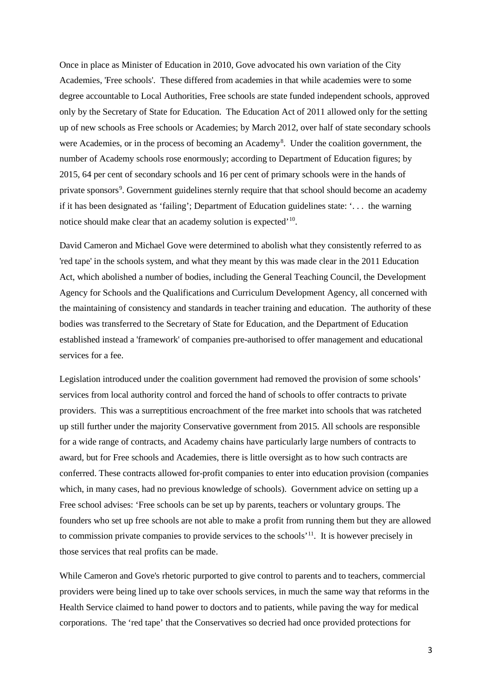Once in place as Minister of Education in 2010, Gove advocated his own variation of the City Academies, 'Free schools'. These differed from academies in that while academies were to some degree accountable to Local Authorities, Free schools are state funded independent schools, approved only by the Secretary of State for Education. The Education Act of 2011 allowed only for the setting up of new schools as Free schools or Academies; by March 2012, over half of state secondary schools were Academies, or in the process of becoming an Academy<sup>[8](#page-4-7)</sup>. Under the coalition government, the number of Academy schools rose enormously; according to Department of Education figures; by 2015, 64 per cent of secondary schools and 16 per cent of primary schools were in the hands of private sponsors<sup>[9](#page-4-8)</sup>. Government guidelines sternly require that that school should become an academy if it has been designated as 'failing'; Department of Education guidelines state: '. . . the warning notice should make clear that an academy solution is expected'[10](#page-4-9).

David Cameron and Michael Gove were determined to abolish what they consistently referred to as 'red tape' in the schools system, and what they meant by this was made clear in the 2011 Education Act, which abolished a number of bodies, including the General Teaching Council, the Development Agency for Schools and the Qualifications and Curriculum Development Agency, all concerned with the maintaining of consistency and standards in teacher training and education. The authority of these bodies was transferred to the Secretary of State for Education, and the Department of Education established instead a 'framework' of companies pre-authorised to offer management and educational services for a fee.

Legislation introduced under the coalition government had removed the provision of some schools' services from local authority control and forced the hand of schools to offer contracts to private providers. This was a surreptitious encroachment of the free market into schools that was ratcheted up still further under the majority Conservative government from 2015. All schools are responsible for a wide range of contracts, and Academy chains have particularly large numbers of contracts to award, but for Free schools and Academies, there is little oversight as to how such contracts are conferred. These contracts allowed for-profit companies to enter into education provision (companies which, in many cases, had no previous knowledge of schools). Government advice on setting up a Free school advises: 'Free schools can be set up by parents, teachers or voluntary groups. The founders who set up free schools are not able to make a profit from running them but they are allowed to commission private companies to provide services to the schools'[11.](#page-4-10) It is however precisely in those services that real profits can be made.

While Cameron and Gove's rhetoric purported to give control to parents and to teachers, commercial providers were being lined up to take over schools services, in much the same way that reforms in the Health Service claimed to hand power to doctors and to patients, while paving the way for medical corporations. The 'red tape' that the Conservatives so decried had once provided protections for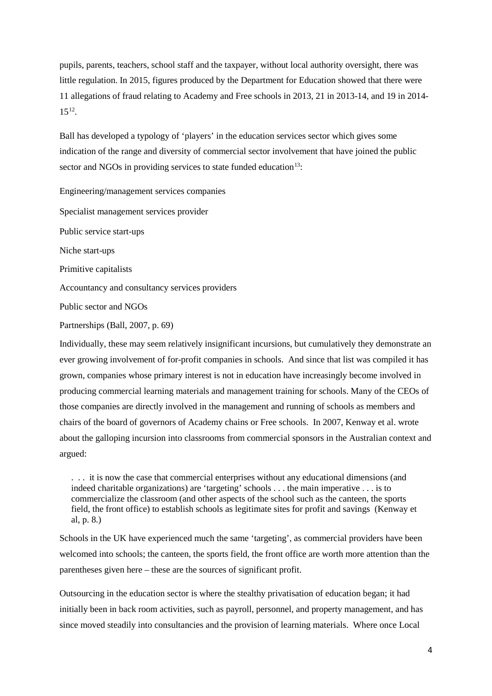pupils, parents, teachers, school staff and the taxpayer, without local authority oversight, there was little regulation. In 2015, figures produced by the Department for Education showed that there were 11 allegations of fraud relating to Academy and Free schools in 2013, 21 in 2013-14, and 19 in 2014-  $15^{12}$  $15^{12}$  $15^{12}$ 

Ball has developed a typology of 'players' in the education services sector which gives some indication of the range and diversity of commercial sector involvement that have joined the public sector and NGOs in providing services to state funded education<sup>[13](#page-4-12)</sup>:

Engineering/management services companies

Specialist management services provider

Public service start-ups

Niche start-ups

Primitive capitalists

Accountancy and consultancy services providers

Public sector and NGOs

Partnerships (Ball, 2007, p. 69)

Individually, these may seem relatively insignificant incursions, but cumulatively they demonstrate an ever growing involvement of for-profit companies in schools. And since that list was compiled it has grown, companies whose primary interest is not in education have increasingly become involved in producing commercial learning materials and management training for schools. Many of the CEOs of those companies are directly involved in the management and running of schools as members and chairs of the board of governors of Academy chains or Free schools. In 2007, Kenway et al. wrote about the galloping incursion into classrooms from commercial sponsors in the Australian context and argued:

. . . it is now the case that commercial enterprises without any educational dimensions (and indeed charitable organizations) are 'targeting' schools . . . the main imperative . . . is to commercialize the classroom (and other aspects of the school such as the canteen, the sports field, the front office) to establish schools as legitimate sites for profit and savings (Kenway et al, p. 8.)

Schools in the UK have experienced much the same 'targeting', as commercial providers have been welcomed into schools; the canteen, the sports field, the front office are worth more attention than the parentheses given here – these are the sources of significant profit.

Outsourcing in the education sector is where the stealthy privatisation of education began; it had initially been in back room activities, such as payroll, personnel, and property management, and has since moved steadily into consultancies and the provision of learning materials. Where once Local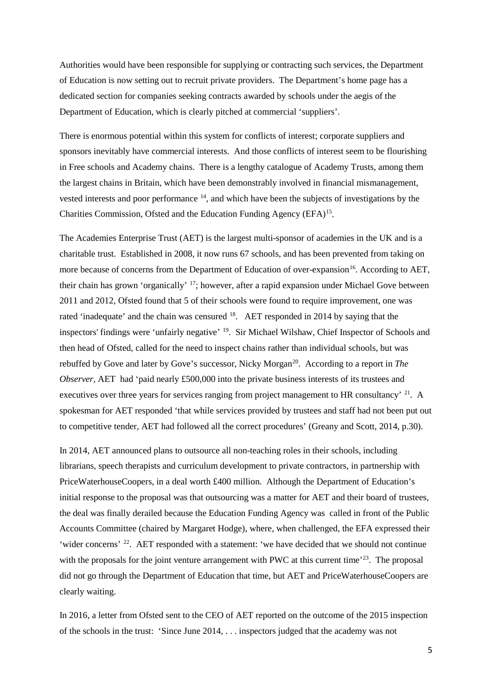<span id="page-4-1"></span><span id="page-4-0"></span>Authorities would have been responsible for supplying or contracting such services, the Department of Education is now setting out to recruit private providers. The Department's home page has a dedicated section for companies seeking contracts awarded by schools under the aegis of the Department of Education, which is clearly pitched at commercial 'suppliers'.

<span id="page-4-5"></span><span id="page-4-4"></span><span id="page-4-3"></span><span id="page-4-2"></span>There is enormous potential within this system for conflicts of interest; corporate suppliers and sponsors inevitably have commercial interests. And those conflicts of interest seem to be flourishing in Free schools and Academy chains. There is a lengthy catalogue of Academy Trusts, among them the largest chains in Britain, which have been demonstrably involved in financial mismanagement, vested interests and poor performance [14,](#page-4-13) and which have been the subjects of investigations by the Charities Commission, Ofsted and the Education Funding Agency (EFA)[15.](#page-4-14)

<span id="page-4-15"></span><span id="page-4-14"></span><span id="page-4-13"></span><span id="page-4-12"></span><span id="page-4-11"></span><span id="page-4-10"></span><span id="page-4-9"></span><span id="page-4-8"></span><span id="page-4-7"></span><span id="page-4-6"></span>The Academies Enterprise Trust (AET) is the largest multi-sponsor of academies in the UK and is a charitable trust. Established in 2008, it now runs 67 schools, and has been prevented from taking on more because of concerns from the Department of Education of over-expansion<sup>[16](#page-4-15)</sup>. According to AET, their chain has grown 'organically' [17;](#page-4-16) however, after a rapid expansion under Michael Gove between 2011 and 2012, Ofsted found that 5 of their schools were found to require improvement, one was rated 'inadequate' and the chain was censured [18](#page-4-17). AET responded in 2014 by saying that the inspectors' findings were 'unfairly negative' [19.](#page-4-18) Sir Michael Wilshaw, Chief Inspector of Schools and then head of Ofsted, called for the need to inspect chains rather than individual schools, but was rebuffed by Gove and later by Gove's successor, Nicky Morgan<sup>[20](#page-4-19)</sup>. According to a report in *The Observer,* AET had 'paid nearly £500,000 into the private business interests of its trustees and executives over three years for services ranging from project management to HR consultancy' <sup>21</sup>. A spokesman for AET responded 'that while services provided by trustees and staff had not been put out to competitive tender, AET had followed all the correct procedures' (Greany and Scott, 2014, p.30).

<span id="page-4-26"></span><span id="page-4-25"></span><span id="page-4-24"></span><span id="page-4-23"></span><span id="page-4-22"></span><span id="page-4-21"></span><span id="page-4-20"></span><span id="page-4-19"></span><span id="page-4-18"></span><span id="page-4-17"></span><span id="page-4-16"></span>In 2014, AET announced plans to outsource all non-teaching roles in their schools, including librarians, speech therapists and curriculum development to private contractors, in partnership with PriceWaterhouseCoopers, in a deal worth £400 million. Although the Department of Education's initial response to the proposal was that outsourcing was a matter for AET and their board of trustees, the deal was finally derailed because the Education Funding Agency was called in front of the Public Accounts Committee (chaired by Margaret Hodge), where, when challenged, the EFA expressed their 'wider concerns' [22](#page-4-21). AET responded with a statement: 'we have decided that we should not continue with the proposals for the joint venture arrangement with PWC at this current time<sup>2[23](#page-4-22)</sup>. The proposal did not go through the Department of Education that time, but AET and PriceWaterhouseCoopers are clearly waiting.

<span id="page-4-33"></span><span id="page-4-32"></span><span id="page-4-31"></span><span id="page-4-30"></span><span id="page-4-29"></span><span id="page-4-28"></span><span id="page-4-27"></span>In 2016, a letter from Ofsted sent to the CEO of AET reported on the outcome of the 2015 inspection of the schools in the trust: 'Since June 2014, . . . inspectors judged that the academy was not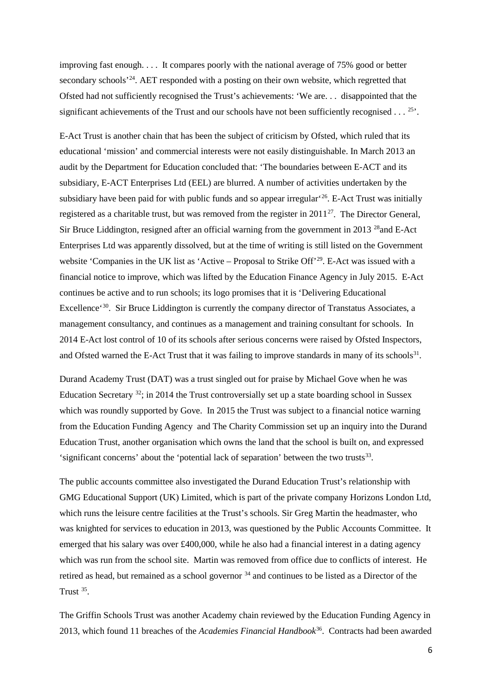<span id="page-5-1"></span><span id="page-5-0"></span>improving fast enough. . . . It compares poorly with the national average of 75% good or better secondary schools<sup>24</sup>. AET responded with a posting on their own website, which regretted that Ofsted had not sufficiently recognised the Trust's achievements: 'We are. . . disappointed that the significant achievements of the Trust and our schools have not been sufficiently recognised  $\dots$  [25'](#page-4-24).

<span id="page-5-10"></span><span id="page-5-9"></span><span id="page-5-8"></span><span id="page-5-7"></span><span id="page-5-6"></span><span id="page-5-5"></span><span id="page-5-4"></span><span id="page-5-3"></span><span id="page-5-2"></span>E-Act Trust is another chain that has been the subject of criticism by Ofsted, which ruled that its educational 'mission' and commercial interests were not easily distinguishable. In March 2013 an audit by the Department for Education concluded that: 'The boundaries between E-ACT and its subsidiary, E-ACT Enterprises Ltd (EEL) are blurred. A number of activities undertaken by the subsidiary have been paid for with public funds and so appear irregular<sup>1[26](#page-4-25)</sup>. E-Act Trust was initially registered as a charitable trust, but was removed from the register in  $2011^{27}$ . The Director General, Sir Bruce Liddington, resigned after an official warning from the government in 2013<sup>28</sup> and E-Act Enterprises Ltd was apparently dissolved, but at the time of writing is still listed on the Government website 'Companies in the UK list as 'Active – Proposal to Strike Off'<sup>[29](#page-4-28)</sup>. E-Act was issued with a financial notice to improve, which was lifted by the Education Finance Agency in July 2015. E-Act continues be active and to run schools; its logo promises that it is 'Delivering Educational Excellence<sup>30</sup>. Sir Bruce Liddington is currently the company director of Transtatus Associates, a management consultancy, and continues as a management and training consultant for schools. In 2014 E-Act lost control of 10 of its schools after serious concerns were raised by Ofsted Inspectors, and Ofsted warned the E-Act Trust that it was failing to improve standards in many of its schools<sup>[31](#page-4-30)</sup>.

<span id="page-5-20"></span><span id="page-5-19"></span><span id="page-5-18"></span><span id="page-5-17"></span><span id="page-5-16"></span><span id="page-5-15"></span><span id="page-5-14"></span><span id="page-5-13"></span><span id="page-5-12"></span><span id="page-5-11"></span>Durand Academy Trust (DAT) was a trust singled out for praise by Michael Gove when he was Education Secretary <sup>[32](#page-4-31)</sup>; in 2014 the Trust controversially set up a state boarding school in Sussex which was roundly supported by Gove. In 2015 the Trust was subject to a financial notice warning from the Education Funding Agency and The Charity Commission set up an inquiry into the Durand Education Trust, another organisation which owns the land that the school is built on, and expressed 'significant concerns' about the 'potential lack of separation' between the two trusts[33](#page-4-32).

<span id="page-5-27"></span><span id="page-5-26"></span><span id="page-5-25"></span><span id="page-5-24"></span><span id="page-5-23"></span><span id="page-5-22"></span><span id="page-5-21"></span>The public accounts committee also investigated the Durand Education Trust's relationship with GMG Educational Support (UK) Limited, which is part of the private company Horizons London Ltd, which runs the leisure centre facilities at the Trust's schools. Sir Greg Martin the headmaster, who was knighted for services to education in 2013, was questioned by the Public Accounts Committee. It emerged that his salary was over £400,000, while he also had a financial interest in a dating agency which was run from the school site. Martin was removed from office due to conflicts of interest. He retired as head, but remained as a school governor <sup>[34](#page-4-33)</sup> and continues to be listed as a Director of the Trust [35](#page-5-0).

<span id="page-5-32"></span><span id="page-5-31"></span><span id="page-5-30"></span><span id="page-5-29"></span><span id="page-5-28"></span>The Griffin Schools Trust was another Academy chain reviewed by the Education Funding Agency in 2013, which found 11 breaches of the *Academies Financial Handbook*[36.](#page-5-1) Contracts had been awarded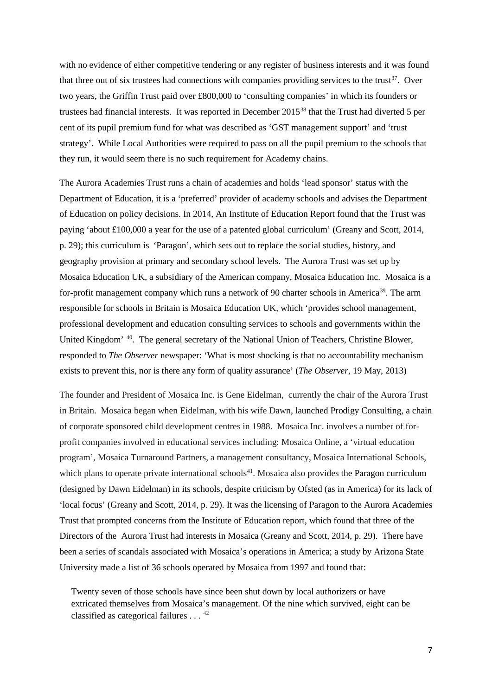<span id="page-6-2"></span><span id="page-6-1"></span><span id="page-6-0"></span>with no evidence of either competitive tendering or any register of business interests and it was found that three out of six trustees had connections with companies providing services to the trust<sup>37</sup>. Over two years, the Griffin Trust paid over £800,000 to 'consulting companies' in which its founders or trustees had financial interests. It was reported in December 2015[38](#page-5-3) that the Trust had diverted 5 per cent of its pupil premium fund for what was described as 'GST management support' and 'trust strategy'. While Local Authorities were required to pass on all the pupil premium to the schools that they run, it would seem there is no such requirement for Academy chains.

<span id="page-6-3"></span>The Aurora Academies Trust runs a chain of academies and holds 'lead sponsor' status with the Department of Education, it is a 'preferred' provider of academy schools and advises the Department of Education on policy decisions. In 2014, An Institute of Education Report found that the Trust was paying 'about £100,000 a year for the use of a patented global curriculum' (Greany and Scott, 2014, p. 29); this curriculum is 'Paragon', which sets out to replace the social studies, history, and geography provision at primary and secondary school levels. The Aurora Trust was set up by Mosaica Education UK, a subsidiary of the American company, Mosaica Education Inc. Mosaica is a for-profit management company which runs a network of 90 charter schools in America<sup>39</sup>. The arm responsible for schools in Britain is Mosaica Education UK, which 'provides school management, professional development and education consulting services to schools and governments within the United Kingdom' [40](#page-5-5). The general secretary of the National Union of Teachers, Christine Blower, responded to *The Observer* newspaper: 'What is most shocking is that no accountability mechanism exists to prevent this, nor is there any form of quality assurance' (*The Observer*, 19 May, 2013)

The founder and President of Mosaica Inc. is Gene Eidelman, currently the chair of the Aurora Trust in Britain. Mosaica began when Eidelman, with his wife Dawn, launched Prodigy Consulting, a chain of corporate sponsored child development centres in 1988. Mosaica Inc. involves a number of forprofit companies involved in educational services including: Mosaica Online, a 'virtual education program', Mosaica Turnaround Partners, a management consultancy, Mosaica International Schools, which plans to operate private international schools<sup>[41](#page-5-6)</sup>. Mosaica also provides the Paragon curriculum (designed by Dawn Eidelman) in its schools, despite criticism by Ofsted (as in America) for its lack of 'local focus' (Greany and Scott, 2014, p. 29). It was the licensing of Paragon to the Aurora Academies Trust that prompted concerns from the Institute of Education report, which found that three of the Directors of the Aurora Trust had interests in Mosaica (Greany and Scott, 2014, p. 29). There have been a series of scandals associated with Mosaica's operations in America; a study by Arizona State University made a list of 36 schools operated by Mosaica from 1997 and found that:

Twenty seven of those schools have since been shut down by local authorizers or have extricated themselves from Mosaica's management. Of the nine which survived, eight can be classified as categorical failures  $\dots$ <sup>[42](#page-5-7)</sup>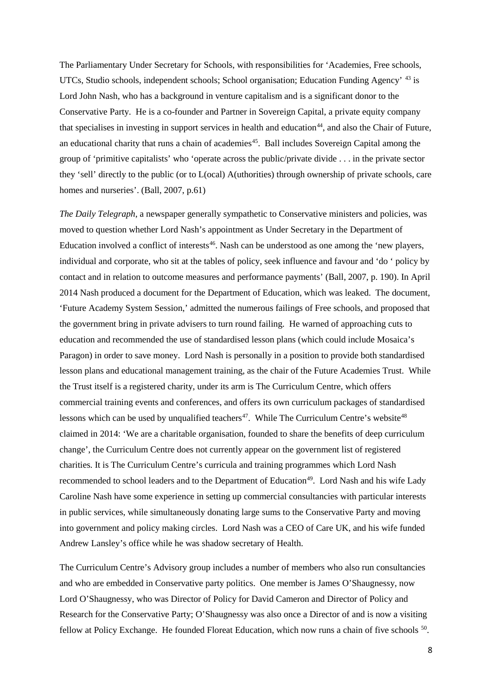The Parliamentary Under Secretary for Schools, with responsibilities for 'Academies, Free schools, UTCs, Studio schools, independent schools; School organisation; Education Funding Agency' [43](#page-5-8) is Lord John Nash, who has a background in venture capitalism and is a significant donor to the Conservative Party. He is a co-founder and Partner in Sovereign Capital, a private equity company that specialises in investing in support services in health and education<sup>44</sup>, and also the Chair of Future, an educational charity that runs a chain of academies<sup>[45](#page-5-10)</sup>. Ball includes Sovereign Capital among the group of 'primitive capitalists' who 'operate across the public/private divide . . . in the private sector they 'sell' directly to the public (or to L(ocal) A(uthorities) through ownership of private schools, care homes and nurseries'. (Ball, 2007, p.61)

*The Daily Telegraph*, a newspaper generally sympathetic to Conservative ministers and policies, was moved to question whether Lord Nash's appointment as Under Secretary in the Department of Education involved a conflict of interests<sup>46</sup>. Nash can be understood as one among the 'new players, individual and corporate, who sit at the tables of policy, seek influence and favour and 'do ' policy by contact and in relation to outcome measures and performance payments' (Ball, 2007, p. 190). In April 2014 Nash produced a document for the Department of Education, which was leaked. The document, 'Future Academy System Session,' admitted the numerous failings of Free schools, and proposed that the government bring in private advisers to turn round failing. He warned of approaching cuts to education and recommended the use of standardised lesson plans (which could include Mosaica's Paragon) in order to save money. Lord Nash is personally in a position to provide both standardised lesson plans and educational management training, as the chair of the Future Academies Trust. While the Trust itself is a registered charity, under its arm is The Curriculum Centre, which offers commercial training events and conferences, and offers its own curriculum packages of standardised lessons which can be used by unqualified teachers<sup>[47](#page-5-12)</sup>. While The Curriculum Centre's website<sup>[48](#page-5-13)</sup> claimed in 2014: 'We are a charitable organisation, founded to share the benefits of deep curriculum change', the Curriculum Centre does not currently appear on the government list of registered charities. It is The Curriculum Centre's curricula and training programmes which Lord Nash recommended to school leaders and to the Department of Education<sup>49</sup>. Lord Nash and his wife Lady Caroline Nash have some experience in setting up commercial consultancies with particular interests in public services, while simultaneously donating large sums to the Conservative Party and moving into government and policy making circles. Lord Nash was a CEO of Care UK, and his wife funded Andrew Lansley's office while he was shadow secretary of Health.

The Curriculum Centre's Advisory group includes a number of members who also run consultancies and who are embedded in Conservative party politics. One member is James O'Shaugnessy, now Lord O'Shaugnessy, who was Director of Policy for David Cameron and Director of Policy and Research for the Conservative Party; O'Shaugnessy was also once a Director of and is now a visiting fellow at Policy Exchange. He founded Floreat Education, which now runs a chain of five schools [50.](#page-5-15)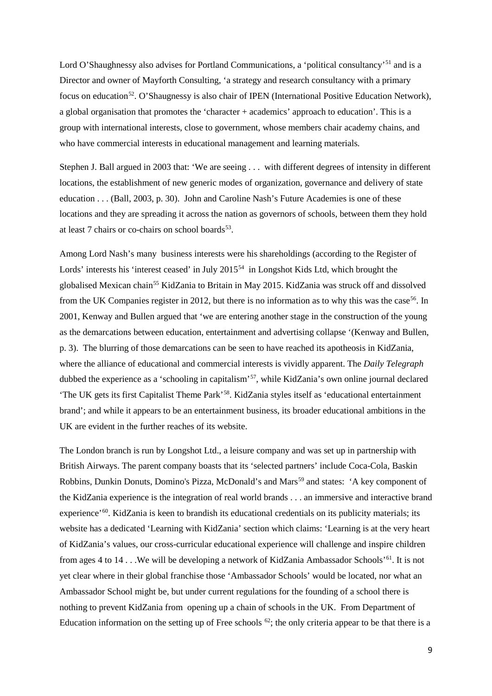Lord O'Shaughnessy also advises for Portland Communications, a 'political consultancy'<sup>[51](#page-5-16)</sup> and is a Director and owner of Mayforth Consulting, 'a strategy and research consultancy with a primary focus on education<sup>52</sup>. O'Shaugnessy is also chair of IPEN (International Positive Education Network), a global organisation that promotes the 'character + academics' approach to education'. This is a group with international interests, close to government, whose members chair academy chains, and who have commercial interests in educational management and learning materials.

Stephen J. Ball argued in 2003 that: 'We are seeing . . . with different degrees of intensity in different locations, the establishment of new generic modes of organization, governance and delivery of state education . . . (Ball, 2003, p. 30). John and Caroline Nash's Future Academies is one of these locations and they are spreading it across the nation as governors of schools, between them they hold at least 7 chairs or co-chairs on school boards $53$ .

Among Lord Nash's many business interests were his shareholdings (according to the Register of Lords' interests his 'interest ceased' in July 2015<sup>[54](#page-5-19)</sup> in Longshot Kids Ltd, which brought the globalised Mexican chain<sup>[55](#page-5-20)</sup> KidZania to Britain in May 2015. KidZania was struck off and dissolved from the UK Companies register in 2012, but there is no information as to why this was the case<sup>56</sup>. In 2001, Kenway and Bullen argued that 'we are entering another stage in the construction of the young as the demarcations between education, entertainment and advertising collapse '(Kenway and Bullen, p. 3). The blurring of those demarcations can be seen to have reached its apotheosis in KidZania, where the alliance of educational and commercial interests is vividly apparent. The *Daily Telegraph* dubbed the experience as a 'schooling in capitalism'[57](#page-5-22), while KidZania's own online journal declared 'The UK gets its first Capitalist Theme Park'[58.](#page-5-23) KidZania styles itself as 'educational entertainment brand'; and while it appears to be an entertainment business, its broader educational ambitions in the UK are evident in the further reaches of its website.

The London branch is run by Longshot Ltd., a leisure company and was set up in partnership with British Airways. The parent company boasts that its 'selected partners' include Coca-Cola, Baskin Robbins, Dunkin Donuts, Domino's Pizza, McDonald's and Mars<sup>[59](#page-5-24)</sup> and states: 'A key component of the KidZania experience is the integration of real world brands . . . an immersive and interactive brand experience'[60.](#page-5-25) KidZania is keen to brandish its educational credentials on its publicity materials; its website has a dedicated 'Learning with KidZania' section which claims: 'Learning is at the very heart of KidZania's values, our cross-curricular educational experience will challenge and inspire children from ages 4 to 14 . . .We will be developing a network of KidZania Ambassador Schools'[61](#page-5-26). It is not yet clear where in their global franchise those 'Ambassador Schools' would be located, nor what an Ambassador School might be, but under current regulations for the founding of a school there is nothing to prevent KidZania from opening up a chain of schools in the UK. From Department of Education information on the setting up of Free schools  $62$ ; the only criteria appear to be that there is a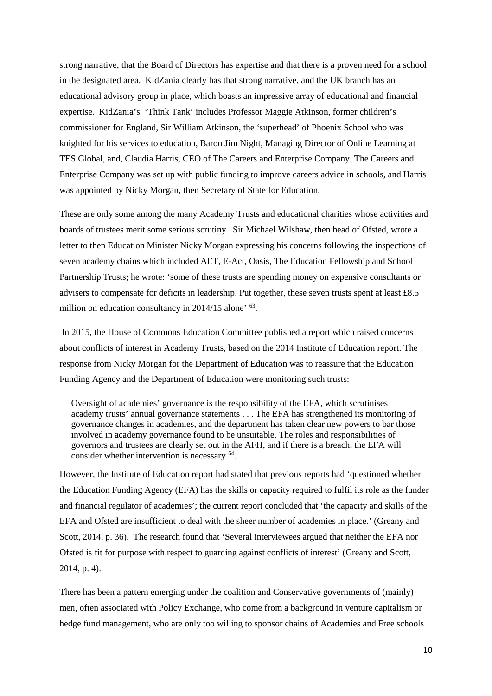strong narrative, that the Board of Directors has expertise and that there is a proven need for a school in the designated area. KidZania clearly has that strong narrative, and the UK branch has an educational advisory group in place, which boasts an impressive array of educational and financial expertise. KidZania's 'Think Tank' includes Professor Maggie Atkinson, former children's commissioner for England, Sir William Atkinson, the 'superhead' of Phoenix School who was knighted for his services to education, Baron Jim Night, Managing Director of Online Learning at TES Global, and, Claudia Harris, CEO of The Careers and Enterprise Company. The Careers and Enterprise Company was set up with public funding to improve careers advice in schools, and Harris was appointed by Nicky Morgan, then Secretary of State for Education.

These are only some among the many Academy Trusts and educational charities whose activities and boards of trustees merit some serious scrutiny. Sir Michael Wilshaw, then head of Ofsted, wrote a letter to then Education Minister Nicky Morgan expressing his concerns following the inspections of seven academy chains which included AET, E-Act, Oasis, The Education Fellowship and School Partnership Trusts; he wrote: 'some of these trusts are spending money on expensive consultants or advisers to compensate for deficits in leadership. Put together, these seven trusts spent at least £8.5 million on education consultancy in 2014/15 alone' <sup>63</sup>.

In 2015, the House of Commons Education Committee published a report which raised concerns about conflicts of interest in Academy Trusts, based on the 2014 Institute of Education report. The response from Nicky Morgan for the Department of Education was to reassure that the Education Funding Agency and the Department of Education were monitoring such trusts:

Oversight of academies' governance is the responsibility of the EFA, which scrutinises academy trusts' annual governance statements . . . The EFA has strengthened its monitoring of governance changes in academies, and the department has taken clear new powers to bar those involved in academy governance found to be unsuitable. The roles and responsibilities of governors and trustees are clearly set out in the AFH, and if there is a breach, the EFA will consider whether intervention is necessary [64](#page-5-29).

However, the Institute of Education report had stated that previous reports had 'questioned whether the Education Funding Agency (EFA) has the skills or capacity required to fulfil its role as the funder and financial regulator of academies'; the current report concluded that 'the capacity and skills of the EFA and Ofsted are insufficient to deal with the sheer number of academies in place.' (Greany and Scott, 2014, p. 36). The research found that 'Several interviewees argued that neither the EFA nor Ofsted is fit for purpose with respect to guarding against conflicts of interest' (Greany and Scott, 2014, p. 4).

There has been a pattern emerging under the coalition and Conservative governments of (mainly) men, often associated with Policy Exchange, who come from a background in venture capitalism or hedge fund management, who are only too willing to sponsor chains of Academies and Free schools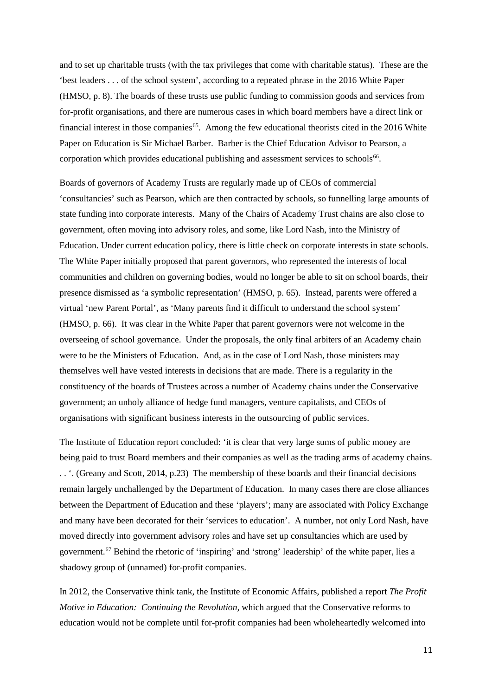and to set up charitable trusts (with the tax privileges that come with charitable status). These are the 'best leaders . . . of the school system', according to a repeated phrase in the 2016 White Paper (HMSO, p. 8). The boards of these trusts use public funding to commission goods and services from for-profit organisations, and there are numerous cases in which board members have a direct link or financial interest in those companies<sup>[65](#page-5-30)</sup>. Among the few educational theorists cited in the 2016 White Paper on Education is Sir Michael Barber. Barber is the Chief Education Advisor to Pearson, a corporation which provides educational publishing and assessment services to schools<sup>66</sup>.

Boards of governors of Academy Trusts are regularly made up of CEOs of commercial 'consultancies' such as Pearson, which are then contracted by schools, so funnelling large amounts of state funding into corporate interests. Many of the Chairs of Academy Trust chains are also close to government, often moving into advisory roles, and some, like Lord Nash, into the Ministry of Education. Under current education policy, there is little check on corporate interests in state schools. The White Paper initially proposed that parent governors, who represented the interests of local communities and children on governing bodies, would no longer be able to sit on school boards, their presence dismissed as 'a symbolic representation' (HMSO, p. 65). Instead, parents were offered a virtual 'new Parent Portal', as 'Many parents find it difficult to understand the school system' (HMSO, p. 66). It was clear in the White Paper that parent governors were not welcome in the overseeing of school governance. Under the proposals, the only final arbiters of an Academy chain were to be the Ministers of Education. And, as in the case of Lord Nash, those ministers may themselves well have vested interests in decisions that are made. There is a regularity in the constituency of the boards of Trustees across a number of Academy chains under the Conservative government; an unholy alliance of hedge fund managers, venture capitalists, and CEOs of organisations with significant business interests in the outsourcing of public services.

The Institute of Education report concluded: 'it is clear that very large sums of public money are being paid to trust Board members and their companies as well as the trading arms of academy chains. . . '. (Greany and Scott, 2014, p.23) The membership of these boards and their financial decisions remain largely unchallenged by the Department of Education. In many cases there are close alliances between the Department of Education and these 'players'; many are associated with Policy Exchange and many have been decorated for their 'services to education'. A number, not only Lord Nash, have moved directly into government advisory roles and have set up consultancies which are used by government.[67](#page-5-32) Behind the rhetoric of 'inspiring' and 'strong' leadership' of the white paper, lies a shadowy group of (unnamed) for-profit companies.

In 2012, the Conservative think tank, the Institute of Economic Affairs, published a report *The Profit Motive in Education: Continuing the Revolution,* which argued that the Conservative reforms to education would not be complete until for-profit companies had been wholeheartedly welcomed into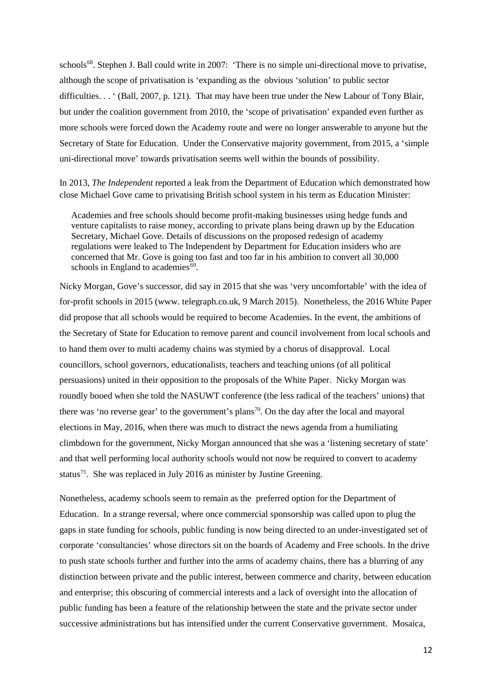schools<sup>68</sup>. Stephen J. Ball could write in 2007: 'There is no simple uni-directional move to privatise, although the scope of privatisation is 'expanding as the obvious 'solution' to public sector difficulties. . . ' (Ball, 2007, p. 121). That may have been true under the New Labour of Tony Blair, but under the coalition government from 2010, the 'scope of privatisation' expanded even further as more schools were forced down the Academy route and were no longer answerable to anyone but the Secretary of State for Education. Under the Conservative majority government, from 2015, a 'simple uni-directional move' towards privatisation seems well within the bounds of possibility.

In 2013, *The Independent* reported a leak from the Department of Education which demonstrated how close Michael Gove came to privatising British school system in his term as Education Minister:

Academies and free schools should become profit-making businesses using hedge funds and venture capitalists to raise money, according to private plans being drawn up by the Education Secretary, Michael Gove. Details of discussions on the proposed redesign of academy regulations were leaked to The Independent by Department for Education insiders who are concerned that Mr. Gove is going too fast and too far in his ambition to convert all 30,000 schools in England to academies $69$ .

Nicky Morgan, Gove's successor, did say in 2015 that she was 'very uncomfortable' with the idea of for-profit schools in 2015 (www. telegraph.co.uk, 9 March 2015). Nonetheless, the 2016 White Paper did propose that all schools would be required to become Academies. In the event, the ambitions of the Secretary of State for Education to remove parent and council involvement from local schools and to hand them over to multi academy chains was stymied by a chorus of disapproval. Local councillors, school governors, educationalists, teachers and teaching unions (of all political persuasions) united in their opposition to the proposals of the White Paper. Nicky Morgan was roundly booed when she told the NASUWT conference (the less radical of the teachers' unions) that there was 'no reverse gear' to the government's plans<sup>[70](#page-6-2)</sup>. On the day after the local and mayoral elections in May, 2016, when there was much to distract the news agenda from a humiliating climbdown for the government, Nicky Morgan announced that she was a 'listening secretary of state' and that well performing local authority schools would not now be required to convert to academy status<sup>71</sup>. She was replaced in July 2016 as minister by Justine Greening.

Nonetheless, academy schools seem to remain as the preferred option for the Department of Education. In a strange reversal, where once commercial sponsorship was called upon to plug the gaps in state funding for schools, public funding is now being directed to an under-investigated set of corporate 'consultancies' whose directors sit on the boards of Academy and Free schools. In the drive to push state schools further and further into the arms of academy chains, there has a blurring of any distinction between private and the public interest, between commerce and charity, between education and enterprise; this obscuring of commercial interests and a lack of oversight into the allocation of public funding has been a feature of the relationship between the state and the private sector under successive administrations but has intensified under the current Conservative government. Mosaica,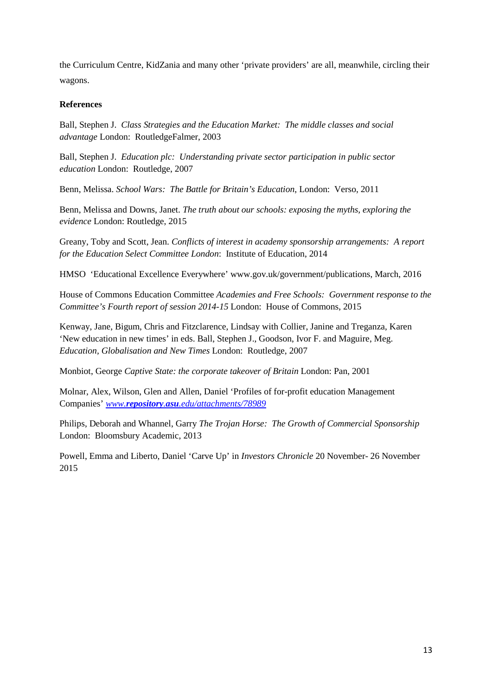the Curriculum Centre, KidZania and many other 'private providers' are all, meanwhile, circling their wagons.

## **References**

Ball, Stephen J. *Class Strategies and the Education Market: The middle classes and social advantage* London: RoutledgeFalmer, 2003

Ball, Stephen J. *Education plc: Understanding private sector participation in public sector education* London: Routledge, 2007

Benn, Melissa. *School Wars: The Battle for Britain's Education*, London: Verso, 2011

Benn, Melissa and Downs, Janet. *The truth about our schools: exposing the myths, exploring the evidence* London: Routledge, 2015

Greany, Toby and Scott, Jean. *Conflicts of interest in academy sponsorship arrangements: A report for the Education Select Committee London*: Institute of Education, 2014

HMSO 'Educational Excellence Everywhere' www.gov.uk/government/publications, March, 2016

House of Commons Education Committee *Academies and Free Schools: Government response to the Committee's Fourth report of session 2014-15* London: House of Commons, 2015

Kenway, Jane, Bigum, Chris and Fitzclarence, Lindsay with Collier, Janine and Treganza, Karen 'New education in new times' in eds. Ball, Stephen J., Goodson, Ivor F. and Maguire, Meg. *Education, Globalisation and New Times* London: Routledge, 2007

Monbiot, George *Captive State: the corporate takeover of Britain* London: Pan, 2001

Molnar, Alex, Wilson, Glen and Allen, Daniel 'Profiles of for-profit education Management Companies' *www.repository.asu[.edu/attachments/78989](http://www.repository.asu.edu/attachments/78989)*

Philips, Deborah and Whannel, Garry *The Trojan Horse: The Growth of Commercial Sponsorship* London: Bloomsbury Academic, 2013

Powell, Emma and Liberto, Daniel 'Carve Up' in *Investors Chronicle* 20 November- 26 November 2015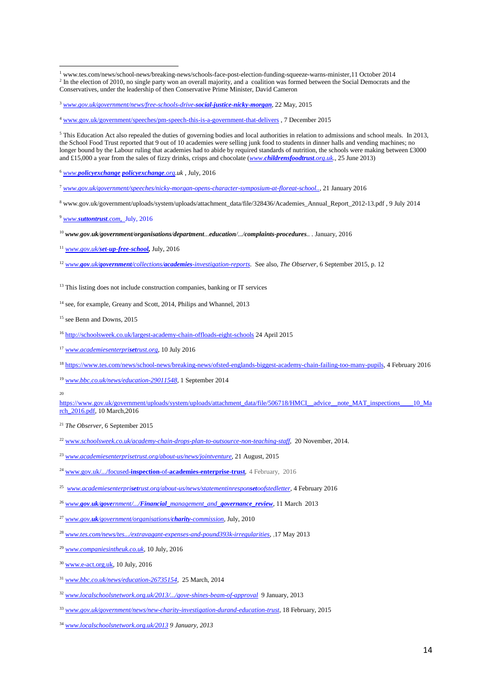This Education Act also repealed the duties of governing bodies and local authorities in relation to admissions and school meals. In 2013, the School Food Trust reported that 9 out of 10 academies were selling junk food to students in dinner halls and vending machines; no longer bound by the Labour ruling that academies had to abide by required standards of nutrition, the schools were making between £3000 and £15,000 a year from the sales of fizzy drinks, crisps and chocolate (*www.[childrensfoodtrust](http://www.childrensfoodtrust.org.uk/).org.uk.*, 25 June 2013)

*www.[policyexchange](http://www.policyexchange.org/) policyexchange.org.uk* , July, 2016

*[www.gov.uk/government/speeches/nicky-morgan-opens-character-symposium-at-floreat-school..](http://www.gov.uk/government/speeches/nicky-morgan-opens-character-symposium-at-floreat-school..)*, 21 January 2016

www.gov.uk/government/uploads/system/uploads/attachment\_data/file/328436/Academies\_Annual\_Report\_2012-13.pdf , 9 July 2014

*www.[suttontrust](http://www.suttontrust.com/).com*, July, 2016

*[www.gov.uk/](http://www.gov.uk/set-up-free-school)set-up-free-school,* July, 2016

*www.gov.uk/government/collections/academies[-investigation-reports](http://www.gov.uk/government/collections/academies-investigation-reports)*. See also, *The Observer,* 6 September 2015, p. 12

This listing does not include construction companies, banking or IT services

<sup>14</sup> see, for example, Greany and Scott, 2014, Philips and Whannel, 2013

<sup>15</sup> see Benn and Downs, 2015

<http://schoolsweek.co.uk/largest-academy-chain-offloads-eight-schools> 24 April 2015

*[www.academiesenterpri](http://www.academiesenterprisetrust.org/)setrust.org,* 10 July 2016

[https://www.tes.com/news/school-news/breaking-news/ofsted-englands-biggest-academy-chain-failing-too-many-pupils,](https://www.tes.com/news/school-news/breaking-news/ofsted-englands-biggest-academy-chain-failing-too-many-pupils) 4 February 2016

*[www.bbc.co.uk/news/education-29011548,](http://www.bbc.co.uk/news/education-29011548)* 1 September 2014

**.** 

[https://www.gov.uk/government/uploads/system/uploads/attachment\\_data/file/506718/HMCI\\_\\_advice\\_\\_note\\_MAT\\_inspections\\_\\_\\_\\_10\\_Ma](https://www.gov.uk/government/uploads/system/uploads/attachment_data/file/506718/HMCI__advice__note_MAT_inspections____10_March_2016.pdf) [rch\\_2016.pdf,](https://www.gov.uk/government/uploads/system/uploads/attachment_data/file/506718/HMCI__advice__note_MAT_inspections____10_March_2016.pdf) 10 March,2016

*The Observer,* 6 September 2015

www.*[schoolsweek.co.uk/academy-chain-drops-plan-to-outsource-non-teaching-staff,](http://www.schoolsweek.co.uk/academy-chain-drops-plan-to-outsource-non-teaching-staff)* 20 November, 2014.

*[www.academiesenterprisetrust.org/about-us/news/jointventure,](http://www.academiesenterprisetrust.org/about-us/news/jointventure)* 21 August, 2015

[www.gov.uk/.../focused-](http://www.gov.uk/.../focused-inspection-of-academies-enterprise-trust)**inspection**-of-**academies-enterprise**-**trust***,* 4 February, 2016

*www.academiesenterpriset[rust.org/about-us/news/statementinrespon](http://www.academiesenterprisetrust.org/about-us/news/statementinresponsetoofstedletter)setoofstedletter,* 4 February 2016

*www.gov.uk/government/.../Financial[\\_management\\_and\\_](http://www.gov.uk/government/.../Financial_management_and_governance_review)governance\_review,* 11 March 2013

*www.gov.uk[/government/organisations/](http://www.gov.uk/government/organisations/charity-commission)charity-commission,* July, 2010

*[www.tes.com/news/tes.../extravagant-expenses-and-pound393k-irregularities,](http://www.tes.com/news/tes.../extravagant-expenses-and-pound393k-irregularities)* ,17 May 2013

*[www.companiesintheuk.co.uk](http://www.companiesintheuk.co.uk/)*, 10 July, 2016

[www.e-act.org.uk,](http://www.e-act.org.uk/) 10 July, 2016

*[www.bbc.co.uk/news/education-26735154,](http://www.bbc.co.uk/news/education-26735154)* 25 March, 2014

*[www.localschoolsnetwork.org.uk/2013/.../gove-shines-beam-of-approval](http://www.localschoolsnetwork.org.uk/2013/.../gove-shines-beam-of-approval)* 9 January, 2013

*[www.gov.uk/government/news/new-charity-investigation-durand-education-trust](http://www.gov.uk/government/news/new-charity-investigation-durand-education-trust)*, 18 February, 2015

*[www.localschoolsnetwork.org.uk/2013](http://www.localschoolsnetwork.org.uk/2013) 9 January, 2013*

 www.tes.com/news/school-news/breaking-news/schools-face-post-election-funding-squeeze-warns-minister*,*11 October 2014 <sup>2</sup> In the election of 2010, no single party won an overall majority, and a coalition was formed between the Social Democrats and the

Conservatives, under the leadership of then Conservative Prime Minister, David Cameron

*[www.gov.uk/government/news/free-schools-drive-](http://www.gov.uk/government/news/free-schools-drive-social-justice-nicky-morgan)social-justice-nicky-morgan*, 22 May, 2015

[www.gov.uk/government/speeches/pm-speech-this-is-a-government-that-delivers](http://www.gov.uk/government/speeches/pm-speech-this-is-a-government-that-delivers) , 7 December 2015

www.gov.uk/government/organisations/department...education/.../complaints-procedures... January, 2016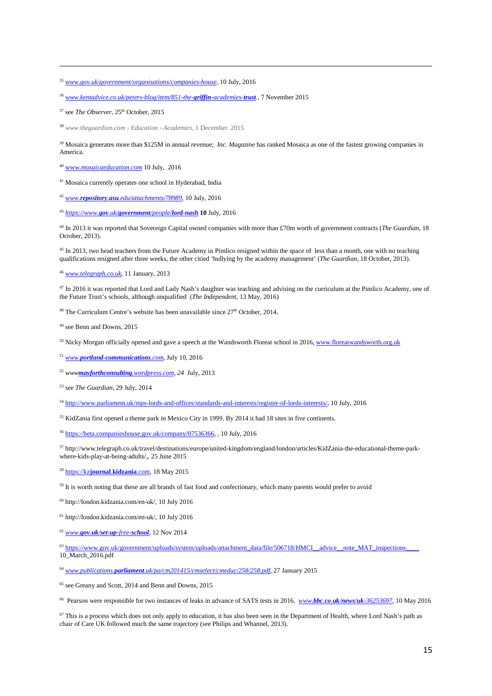*[www.gov.uk/government/organisations/companies-house](http://www.gov.uk/government/organisations/companies-house)*, 10 July, 2016

*[www.kentadvice.co.uk/peters-blog/item/851-the-](http://www.kentadvice.co.uk/peters-blog/item/851-the-griffin-academies-trust)griffin-academies-trust.,* 7 November 2015

<sup>37</sup> see *The Observer*, 25<sup>th</sup> October, 2015

**.** 

*www.theguardian.com › Education › Academies,* 1 December 2015

 Mosaica generates more than \$125M in annual revenue; *Inc. Magazine* has ranked Mosaica as one of the fastest growing companies in America.

www.*[mosaicaeducation.com](http://www.mosaicaeducation.com/)* 10 July, 2016

Mosaica currently operates one school in Hyderabad, India

*www.repository.asu[.edu/attachments/78989,](http://www.repository.asu.edu/attachments/78989)* 10 July, 2016

*[https://www.](https://www.gov.uk/government/people/lord-nash)gov.uk/government/people/lord-nash* **10** July, 2016

 In 2013 it was reported that Sovereign Capital owned companies with more than £70m worth of government contracts (*The Guardian,* 18 October, 2013).

<sup>45</sup> In 2013, two head teachers from the Future Academy in Pimlico resigned within the space of less than a month, one with no teaching qualifications resigned after three weeks, the other citied 'bullying by the academy management' (*The Guardian,* 18 October, 2013).

*[www.telegraph.co.uk,](http://www.telegraph.co.uk/)* 11 January, 2013

<sup>47</sup> In 2016 it was reported that Lord and Lady Nash's daughter was teaching and advising on the curriculum at the Pimlico Academy, one of the Future Trust's schools, although unqualified (*The Independent*, 13 May, 2016)

The Curriculum Centre's website has been unavailable since  $27<sup>th</sup>$  October, 2014.

see Benn and Downs, 2015

<sup>50</sup> Nicky Morgan officially opened and gave a speech at the Wandsworth Floreat school in 2016[, www.floreatwandsworth.org.uk](http://www.floreatwandsworth.org.uk/)

*www.portland-[communications](http://www.portland-communications.com/).com,* July 10, 2016

*www[mayforthconsulting](https://mayforthconsulting.wordpress.com/).wordpress.com, 24* July, 2013

see *The Guardian*, 29 July, 2014

[http://www.parliament.uk/mps-lords-and-offices/standards-and-interests/register-of-lords-interests/,](http://www.parliament.uk/mps-lords-and-offices/standards-and-interests/register-of-lords-interests/) 10 July, 2016

KidZania first opened a theme park in Mexico City in 1999. By 2014 it had 18 sites in five continents.

[https://beta.companieshouse.gov.uk/company/07536366,](https://beta.companieshouse.gov.uk/company/07536366) *,* 10 July, 2016

 http://www.telegraph.co.uk/travel/destinations/europe/united-kingdom/england/london/articles/KidZania-the-educational-theme-parkwhere-kids-play-at-being-adults/,*,* 25 June 2015

[https://kz](https://kzjournal.kidzania.com/)**journal**.**kidzania**.com, 18 May 2015

<sup>59</sup> It is worth noting that these are all brands of fast food and confectionary, which many parents would prefer to avoid

http://london.kidzania.com/en-uk/*,* 10 July 2016

http://london.kidzania.com/en-uk/, 10 July 2016

*www.gov.uk/set-up-free-[school](http://www.gov.uk/set-up-free-school)*, 12 Nov 2014

 $^{63}$  https://www.gov.uk/government/uploads/system/uploads/attachment\_data/file/506718/HMCI\_\_advice\_\_note\_MAT\_inspections 10\_March\_2016.pdf

*www.publications.parliament[.uk/pa/cm201415/cmselect/cmeduc/258/258.pdf](http://www.publications.parliament.uk/pa/cm201415/cmselect/cmeduc/258/258.pdf)*, 27 January 2015

see Greany and Scott, 2014 and Benn and Downs, 2015

66 Pearson were responsible for two instances of leaks in advance of SATS tests in 2016. *www.bbc.co.uk/news/uk[-36253697,](http://www.bbc.co.uk/news/uk-36253697)* 10 May 2016

<sup>67</sup> This is a process which does not only apply to education, it has also been seen in the Department of Health, where Lord Nash's path as chair of Care UK followed much the same trajectory (see Philips and Whannel, 2013).